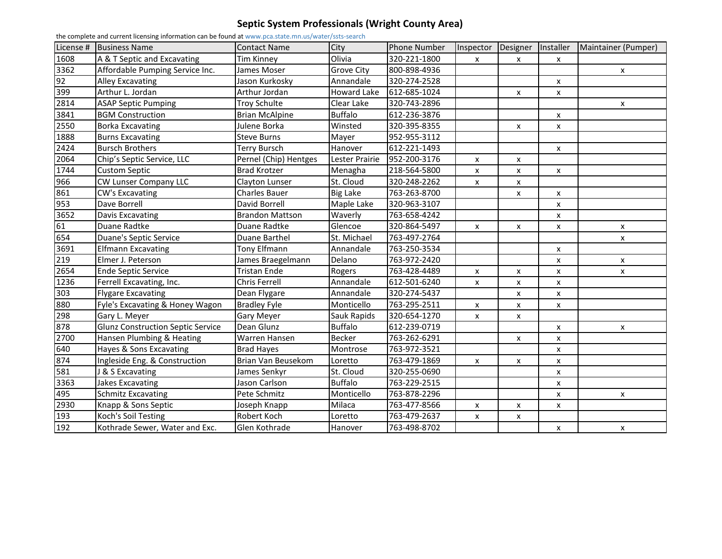## **Septic System Professionals (Wright County Area)**

| the complete and current licensing information can be found at www.pca.state.mn.us/water/ssts-search |                                          |                        |                   |                     |                |                |                |                     |  |
|------------------------------------------------------------------------------------------------------|------------------------------------------|------------------------|-------------------|---------------------|----------------|----------------|----------------|---------------------|--|
|                                                                                                      | License # Business Name                  | <b>Contact Name</b>    | City              | <b>Phone Number</b> | Inspector      | Designer       | Installer      | Maintainer (Pumper) |  |
| 1608                                                                                                 | A & T Septic and Excavating              | Tim Kinney             | Olivia            | 320-221-1800        | X              | x              | X              |                     |  |
| 3362                                                                                                 | Affordable Pumping Service Inc.          | James Moser            | <b>Grove City</b> | 800-898-4936        |                |                |                | $\mathsf{x}$        |  |
| 92                                                                                                   | <b>Alley Excavating</b>                  | Jason Kurkosky         | Annandale         | 320-274-2528        |                |                | x              |                     |  |
| 399                                                                                                  | Arthur L. Jordan                         | Arthur Jordan          | Howard Lake       | 612-685-1024        |                | X              | x              |                     |  |
| 2814                                                                                                 | <b>ASAP Septic Pumping</b>               | <b>Troy Schulte</b>    | Clear Lake        | 320-743-2896        |                |                |                | $\mathsf{x}$        |  |
| 3841                                                                                                 | <b>BGM Construction</b>                  | <b>Brian McAlpine</b>  | <b>Buffalo</b>    | 612-236-3876        |                |                | x              |                     |  |
| 2550                                                                                                 | <b>Borka Excavating</b>                  | Julene Borka           | Winsted           | 320-395-8355        |                | X              | x              |                     |  |
| 1888                                                                                                 | <b>Burns Excavating</b>                  | <b>Steve Burns</b>     | Mayer             | 952-955-3112        |                |                |                |                     |  |
| 2424                                                                                                 | <b>Bursch Brothers</b>                   | <b>Terry Bursch</b>    | Hanover           | 612-221-1493        |                |                | x              |                     |  |
| 2064                                                                                                 | Chip's Septic Service, LLC               | Pernel (Chip) Hentges  | Lester Prairie    | 952-200-3176        | X              | X              |                |                     |  |
| 1744                                                                                                 | <b>Custom Septic</b>                     | <b>Brad Krotzer</b>    | Menagha           | 218-564-5800        | X              | $\pmb{\times}$ | X              |                     |  |
| 966                                                                                                  | CW Lunser Company LLC                    | Clayton Lunser         | St. Cloud         | 320-248-2262        | X              | X              |                |                     |  |
| 861                                                                                                  | CW's Excavating                          | <b>Charles Bauer</b>   | <b>Big Lake</b>   | 763-263-8700        |                | X              | X              |                     |  |
| 953                                                                                                  | Dave Borrell                             | David Borrell          | Maple Lake        | 320-963-3107        |                |                | X              |                     |  |
| 3652                                                                                                 | Davis Excavating                         | <b>Brandon Mattson</b> | Waverly           | 763-658-4242        |                |                | x              |                     |  |
| 61                                                                                                   | Duane Radtke                             | Duane Radtke           | Glencoe           | 320-864-5497        | X              | X              | x              | X                   |  |
| 654                                                                                                  | Duane's Septic Service                   | Duane Barthel          | St. Michael       | 763-497-2764        |                |                |                | $\mathsf{x}$        |  |
| 3691                                                                                                 | <b>Elfmann Excavating</b>                | Tony Elfmann           | Annandale         | 763-250-3534        |                |                | x              |                     |  |
| 219                                                                                                  | Elmer J. Peterson                        | James Braegelmann      | Delano            | 763-972-2420        |                |                | X              | X                   |  |
| 2654                                                                                                 | <b>Ende Septic Service</b>               | <b>Tristan Ende</b>    | Rogers            | 763-428-4489        | $\pmb{\times}$ | $\pmb{\times}$ | $\pmb{\times}$ | X                   |  |
| 1236                                                                                                 | Ferrell Excavating, Inc.                 | Chris Ferrell          | Annandale         | 612-501-6240        | X              | X              | x              |                     |  |
| 303                                                                                                  | <b>Flygare Excavating</b>                | Dean Flygare           | Annandale         | 320-274-5437        |                | X              | x              |                     |  |
| 880                                                                                                  | Fyle's Excavating & Honey Wagon          | <b>Bradley Fyle</b>    | Monticello        | 763-295-2511        | X              | X              | x              |                     |  |
| 298                                                                                                  | Gary L. Meyer                            | <b>Gary Meyer</b>      | Sauk Rapids       | 320-654-1270        | X              | x              |                |                     |  |
| 878                                                                                                  | <b>Glunz Construction Septic Service</b> | Dean Glunz             | <b>Buffalo</b>    | 612-239-0719        |                |                | X              | X                   |  |
| 2700                                                                                                 | Hansen Plumbing & Heating                | Warren Hansen          | <b>Becker</b>     | 763-262-6291        |                | X              | x              |                     |  |
| 640                                                                                                  | Hayes & Sons Excavating                  | <b>Brad Hayes</b>      | Montrose          | 763-972-3521        |                |                | x              |                     |  |
| 874                                                                                                  | Ingleside Eng. & Construction            | Brian Van Beusekom     | Loretto           | 763-479-1869        | X              | X              | x              |                     |  |
| 581                                                                                                  | J & S Excavating                         | James Senkyr           | St. Cloud         | 320-255-0690        |                |                | x              |                     |  |
| 3363                                                                                                 | <b>Jakes Excavating</b>                  | Jason Carlson          | <b>Buffalo</b>    | 763-229-2515        |                |                | x              |                     |  |
| 495                                                                                                  | <b>Schmitz Excavating</b>                | Pete Schmitz           | Monticello        | 763-878-2296        |                |                | X              | X                   |  |
| 2930                                                                                                 | Knapp & Sons Septic                      | Joseph Knapp           | Milaca            | 763-477-8566        | X              | X              | x              |                     |  |
| 193                                                                                                  | Koch's Soil Testing                      | Robert Koch            | Loretto           | 763-479-2637        | X              | X              |                |                     |  |
| 192                                                                                                  | Kothrade Sewer, Water and Exc.           | Glen Kothrade          | Hanover           | 763-498-8702        |                |                | x              | x                   |  |